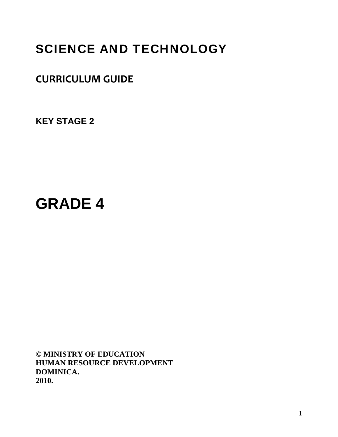# SCIENCE AND TECHNOLOGY

## **CURRICULUM GUIDE**

**KEY STAGE 2** 

# **GRADE 4**

**© MINISTRY OF EDUCATION HUMAN RESOURCE DEVELOPMENT DOMINICA. 2010.**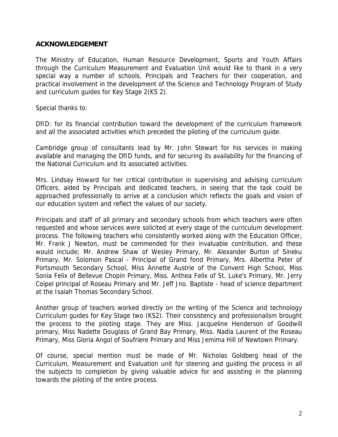## **ACKNOWLEDGEMENT**

The Ministry of Education, Human Resource Development, Sports and Youth Affairs through the Curriculum Measurement and Evaluation Unit would like to thank in a very special way a number of schools, Principals and Teachers for their cooperation, and practical involvement in the development of the Science and Technology Program of Study and curriculum guides for Key Stage 2(KS 2).

Special thanks to:

DfID: for its financial contribution toward the development of the curriculum framework and all the associated activities which preceded the piloting of the curriculum guide.

Cambridge group of consultants lead by Mr. John Stewart for his services in making available and managing the DfID funds, and for securing its availability for the financing of the National Curriculum and its associated activities.

Mrs. Lindsay Howard for her critical contribution in supervising and advising curriculum Officers, aided by Principals and dedicated teachers, in seeing that the task could be approached professionally to arrive at a conclusion which reflects the goals and vision of our education system and reflect the values of our society.

Principals and staff of all primary and secondary schools from which teachers were often requested and whose services were solicited at every stage of the curriculum development process. The following teachers who consistently worked along with the Education Officer, Mr. Frank J Newton, must be commended for their invaluable contribution, and these would include; Mr. Andrew Shaw of Wesley Primary, Mr. Alexander Burton of Sineku Primary, Mr. Solomon Pascal - Principal of Grand fond Primary, Mrs. Albertha Peter of Portsmouth Secondary School, Miss Annette Austrie of the Convent High School, Miss Sonia Felix of Bellevue Chopin Primary, Miss. Anthea Felix of St. Luke's Primary, Mr. Jerry Coipel principal of Roseau Primary and Mr. Jeff Jno. Baptiste - head of science department at the Isaiah Thomas Secondary School.

Another group of teachers worked directly on the writing of the Science and technology Curriculum guides for Key Stage two (KS2). Their consistency and professionalism brought the process to the piloting stage. They are Miss. Jacqueline Henderson of Goodwill primary, Miss Nadette Douglass of Grand Bay Primary, Miss. Nadia Laurent of the Roseau Primary, Miss Gloria Angol of Soufriere Primary and Miss Jemima Hill of Newtown Primary.

Of course, special mention must be made of Mr. Nicholas Goldberg head of the Curriculum, Measurement and Evaluation unit for steering and guiding the process in all the subjects to completion by giving valuable advice for and assisting in the planning towards the piloting of the entire process.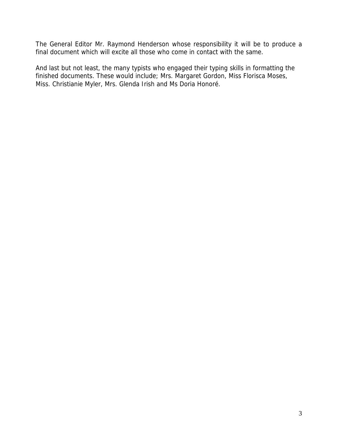The General Editor Mr. Raymond Henderson whose responsibility it will be to produce a final document which will excite all those who come in contact with the same.

And last but not least, the many typists who engaged their typing skills in formatting the finished documents. These would include; Mrs. Margaret Gordon, Miss Florisca Moses, Miss. Christianie Myler, Mrs. Glenda Irish and Ms Doria Honoré.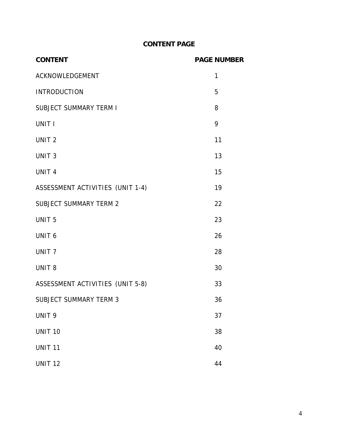## **CONTENT PAGE**

| <b>CONTENT</b>                   | <b>PAGE NUMBER</b> |
|----------------------------------|--------------------|
| ACKNOWLEDGEMENT                  | 1                  |
| <b>INTRODUCTION</b>              | 5                  |
| <b>SUBJECT SUMMARY TERM I</b>    | 8                  |
| UNIT I                           | 9                  |
| UNIT <sub>2</sub>                | 11                 |
| UNIT <sub>3</sub>                | 13                 |
| UNIT <sub>4</sub>                | 15                 |
| ASSESSMENT ACTIVITIES (UNIT 1-4) | 19                 |
| <b>SUBJECT SUMMARY TERM 2</b>    | 22                 |
| UNIT <sub>5</sub>                | 23                 |
| UNIT <sub>6</sub>                | 26                 |
| UNIT <sub>7</sub>                | 28                 |
| UNIT <sub>8</sub>                | 30                 |
| ASSESSMENT ACTIVITIES (UNIT 5-8) | 33                 |
| <b>SUBJECT SUMMARY TERM 3</b>    | 36                 |
| UNIT <sub>9</sub>                | 37                 |
| <b>UNIT 10</b>                   | 38                 |
| <b>UNIT 11</b>                   | 40                 |
| <b>UNIT 12</b>                   | 44                 |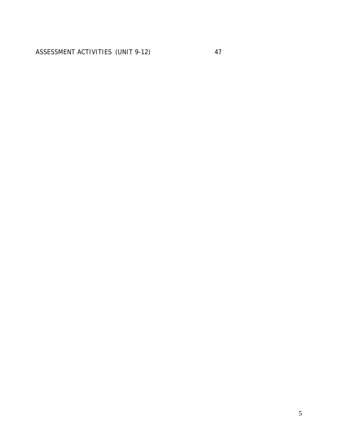ASSESSMENT ACTIVITIES (UNIT 9-12) 47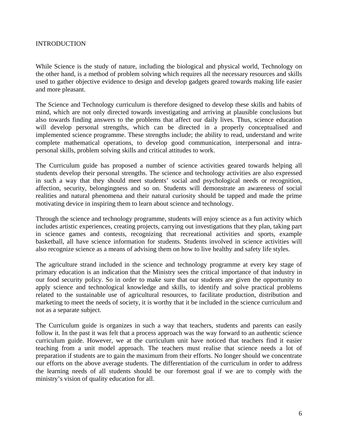## INTRODUCTION

While Science is the study of nature, including the biological and physical world, Technology on the other hand, is a method of problem solving which requires all the necessary resources and skills used to gather objective evidence to design and develop gadgets geared towards making life easier and more pleasant.

The Science and Technology curriculum is therefore designed to develop these skills and habits of mind, which are not only directed towards investigating and arriving at plausible conclusions but also towards finding answers to the problems that affect our daily lives. Thus, science education will develop personal strengths, which can be directed in a properly conceptualised and implemented science programme. These strengths include; the ability to read, understand and write complete mathematical operations, to develop good communication, interpersonal and intrapersonal skills, problem solving skills and critical attitudes to work.

The Curriculum guide has proposed a number of science activities geared towards helping all students develop their personal strengths. The science and technology activities are also expressed in such a way that they should meet students' social and psychological needs or recognition, affection, security, belongingness and so on. Students will demonstrate an awareness of social realities and natural phenomena and their natural curiosity should be tapped and made the prime motivating device in inspiring them to learn about science and technology.

Through the science and technology programme, students will enjoy science as a fun activity which includes artistic experiences, creating projects, carrying out investigations that they plan, taking part in science games and contests, recognizing that recreational activities and sports, example basketball, all have science information for students. Students involved in science activities will also recognize science as a means of advising them on how to live healthy and safety life styles.

The agriculture strand included in the science and technology programme at every key stage of primary education is an indication that the Ministry sees the critical importance of that industry in our food security policy. So in order to make sure that our students are given the opportunity to apply science and technological knowledge and skills, to identify and solve practical problems related to the sustainable use of agricultural resources, to facilitate production, distribution and marketing to meet the needs of society, it is worthy that it be included in the science curriculum and not as a separate subject.

The Curriculum guide is organizes in such a way that teachers, students and parents can easily follow it. In the past it was felt that a process approach was the way forward to an authentic science curriculum guide. However, we at the curriculum unit have noticed that teachers find it easier teaching from a unit model approach. The teachers must realise that science needs a lot of preparation if students are to gain the maximum from their efforts. No longer should we concentrate our efforts on the above average students. The differentiation of the curriculum in order to address the learning needs of all students should be our foremost goal if we are to comply with the ministry's vision of quality education for all.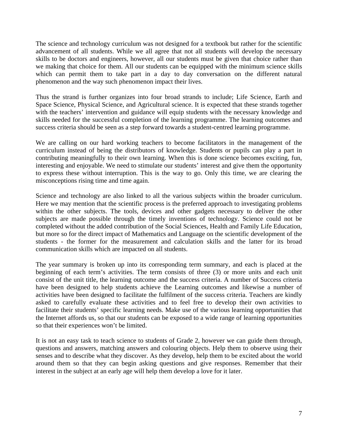The science and technology curriculum was not designed for a textbook but rather for the scientific advancement of all students. While we all agree that not all students will develop the necessary skills to be doctors and engineers, however, all our students must be given that choice rather than we making that choice for them. All our students can be equipped with the minimum science skills which can permit them to take part in a day to day conversation on the different natural phenomenon and the way such phenomenon impact their lives.

Thus the strand is further organizes into four broad strands to include; Life Science, Earth and Space Science, Physical Science, and Agricultural science. It is expected that these strands together with the teachers' intervention and guidance will equip students with the necessary knowledge and skills needed for the successful completion of the learning programme. The learning outcomes and success criteria should be seen as a step forward towards a student-centred learning programme.

We are calling on our hard working teachers to become facilitators in the management of the curriculum instead of being the distributors of knowledge. Students or pupils can play a part in contributing meaningfully to their own learning. When this is done science becomes exciting, fun, interesting and enjoyable. We need to stimulate our students' interest and give them the opportunity to express these without interruption. This is the way to go. Only this time, we are clearing the misconceptions rising time and time again.

Science and technology are also linked to all the various subjects within the broader curriculum. Here we may mention that the scientific process is the preferred approach to investigating problems within the other subjects. The tools, devices and other gadgets necessary to deliver the other subjects are made possible through the timely inventions of technology. Science could not be completed without the added contribution of the Social Sciences, Health and Family Life Education, but more so for the direct impact of Mathematics and Language on the scientific development of the students - the former for the measurement and calculation skills and the latter for its broad communication skills which are impacted on all students.

The year summary is broken up into its corresponding term summary, and each is placed at the beginning of each term's activities. The term consists of three (3) or more units and each unit consist of the unit title, the learning outcome and the success criteria. A number of Success criteria have been designed to help students achieve the Learning outcomes and likewise a number of activities have been designed to facilitate the fulfilment of the success criteria. Teachers are kindly asked to carefully evaluate these activities and to feel free to develop their own activities to facilitate their students' specific learning needs. Make use of the various learning opportunities that the Internet affords us, so that our students can be exposed to a wide range of learning opportunities so that their experiences won't be limited.

It is not an easy task to teach science to students of Grade 2, however we can guide them through, questions and answers, matching answers and colouring objects. Help them to observe using their senses and to describe what they discover. As they develop, help them to be excited about the world around them so that they can begin asking questions and give responses. Remember that their interest in the subject at an early age will help them develop a love for it later.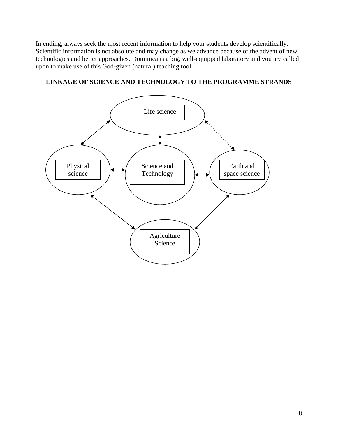In ending, always seek the most recent information to help your students develop scientifically. Scientific information is not absolute and may change as we advance because of the advent of new technologies and better approaches. Dominica is a big, well-equipped laboratory and you are called upon to make use of this God-given (natural) teaching tool.



## **LINKAGE OF SCIENCE AND TECHNOLOGY TO THE PROGRAMME STRANDS**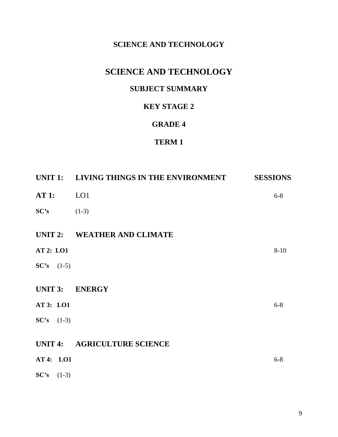## **SCIENCE AND TECHNOLOGY**

## **SCIENCE AND TECHNOLOGY**

## **SUBJECT SUMMARY**

## **KEY STAGE 2**

## **GRADE 4**

## **TERM 1**

|                  | UNIT 1: LIVING THINGS IN THE ENVIRONMENT | <b>SESSIONS</b> |
|------------------|------------------------------------------|-----------------|
| AT1:             | LO <sub>1</sub>                          | $6 - 8$         |
| SC's             | $(1-3)$                                  |                 |
|                  | UNIT 2: WEATHER AND CLIMATE              |                 |
| <b>AT 2: LO1</b> |                                          | $8 - 10$        |
| $SC's$ (1-5)     |                                          |                 |
|                  | UNIT 3: ENERGY                           |                 |
| AT 3: LO1        |                                          | $6 - 8$         |
| $SC's$ (1-3)     |                                          |                 |
|                  | UNIT 4: AGRICULTURE SCIENCE              |                 |
| AT 4: LO1        |                                          | $6 - 8$         |
| $SC's$ (1-3)     |                                          |                 |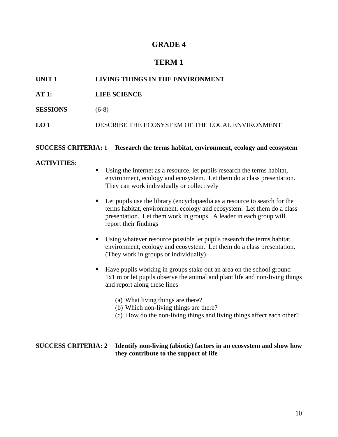## **GRADE 4**

## **TERM 1**

| UNIT <sub>1</sub> | LIVING THINGS IN THE ENVIRONMENT                |
|-------------------|-------------------------------------------------|
| AT1:              | <b>LIFE SCIENCE</b>                             |
| <b>SESSIONS</b>   | $(6-8)$                                         |
| LO 1              | DESCRIBE THE ECOSYSTEM OF THE LOCAL ENVIRONMENT |
|                   |                                                 |

#### **SUCCESS CRITERIA: 1 Research the terms habitat, environment, ecology and ecosystem**

#### **ACTIVITIES:**

- Using the Internet as a resource, let pupils research the terms habitat, environment, ecology and ecosystem. Let them do a class presentation. They can work individually or collectively
- Let pupils use the library (encyclopaedia as a resource to search for the terms habitat, environment, ecology and ecosystem. Let them do a class presentation. Let them work in groups. A leader in each group will report their findings
- Using whatever resource possible let pupils research the terms habitat, environment, ecology and ecosystem. Let them do a class presentation. (They work in groups or individually)
- Have pupils working in groups stake out an area on the school ground 1x1 m or let pupils observe the animal and plant life and non-living things and report along these lines
	- (a) What living things are there?
	- (b) Which non-living things are there?
	- (c) How do the non-living things and living things affect each other?

#### **SUCCESS CRITERIA: 2 Identify non-living (abiotic) factors in an ecosystem and show how they contribute to the support of life**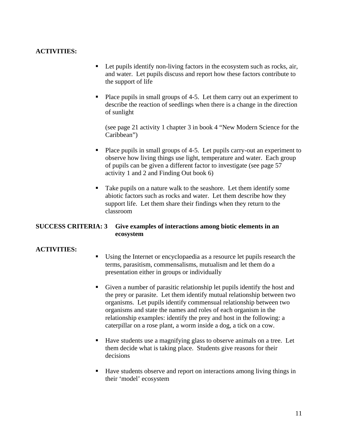## **ACTIVITIES:**

- Let pupils identify non-living factors in the ecosystem such as rocks, air, and water. Let pupils discuss and report how these factors contribute to the support of life
- Place pupils in small groups of 4-5. Let them carry out an experiment to describe the reaction of seedlings when there is a change in the direction of sunlight

(see page 21 activity 1 chapter 3 in book 4 "New Modern Science for the Caribbean")

- Place pupils in small groups of 4-5. Let pupils carry-out an experiment to observe how living things use light, temperature and water. Each group of pupils can be given a different factor to investigate (see page 57 activity 1 and 2 and Finding Out book 6)
- Take pupils on a nature walk to the seashore. Let them identify some abiotic factors such as rocks and water. Let them describe how they support life. Let them share their findings when they return to the classroom

## **SUCCESS CRITERIA: 3 Give examples of interactions among biotic elements in an ecosystem**

- Using the Internet or encyclopaedia as a resource let pupils research the terms, parasitism, commensalisms, mutualism and let them do a presentation either in groups or individually
- Given a number of parasitic relationship let pupils identify the host and the prey or parasite. Let them identify mutual relationship between two organisms. Let pupils identify commensual relationship between two organisms and state the names and roles of each organism in the relationship examples: identify the prey and host in the following: a caterpillar on a rose plant, a worm inside a dog, a tick on a cow.
- Have students use a magnifying glass to observe animals on a tree. Let them decide what is taking place. Students give reasons for their decisions
- Have students observe and report on interactions among living things in their 'model' ecosystem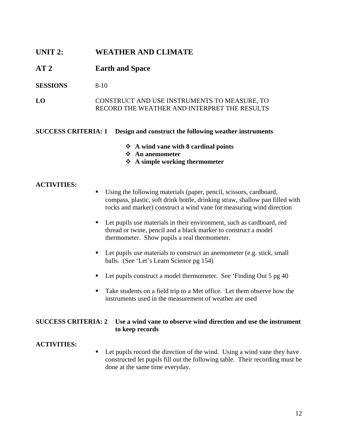## **UNIT 2: WEATHER AND CLIMATE**

## **AT 2 Earth and Space**

**SESSIONS** 8-10

**LO** CONSTRUCT AND USE INSTRUMENTS TO MEASURE, TO RECORD THE WEATHER AND INTERPRET THE RESULTS

#### **SUCCESS CRITERIA: 1 Design and construct the following weather instruments**

- **A wind vane with 8 cardinal points**
- **An anemometer**
- **A simple working thermometer**

#### **ACTIVITIES:**

- Using the following materials (paper, pencil, scissors, cardboard, compass, plastic, soft drink bottle, drinking straw, shallow pan filled with rocks and marker) construct a wind vane for measuring wind direction
- Let pupils use materials in their environment, such as cardboard, red thread or twine, pencil and a black marker to construct a model thermometer. Show pupils a real thermometer.
- Let pupils use materials to construct an anemometer (e.g. stick, small balls. (See 'Let's Learn Science pg 154)
- Let pupils construct a model thermometer. See 'Finding Out 5 pg 40
- Take students on a field trip to a Met office. Let them observe how the instruments used in the measurement of weather are used

## **SUCCESS CRITERIA: 2 Use a wind vane to observe wind direction and use the instrument to keep records**

## **ACTIVITIES:**

■ Let pupils record the direction of the wind. Using a wind vane they have constructed let pupils fill out the following table. Their recording must be done at the same time everyday.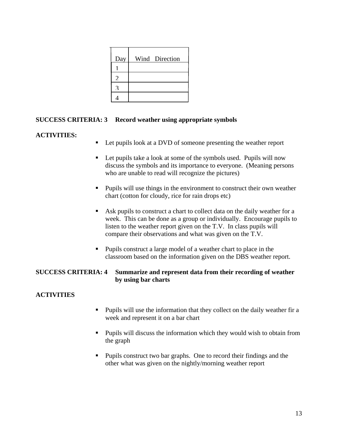| Day            | Wind Direction |
|----------------|----------------|
|                |                |
| $\mathfrak{D}$ |                |
|                |                |
|                |                |

## **SUCCESS CRITERIA: 3 Record weather using appropriate symbols**

## **ACTIVITIES:**

- Let pupils look at a DVD of someone presenting the weather report
- Let pupils take a look at some of the symbols used. Pupils will now discuss the symbols and its importance to everyone. (Meaning persons who are unable to read will recognize the pictures)
- **Pupils will use things in the environment to construct their own weather** chart (cotton for cloudy, rice for rain drops etc)
- Ask pupils to construct a chart to collect data on the daily weather for a week. This can be done as a group or individually. Encourage pupils to listen to the weather report given on the T.V. In class pupils will compare their observations and what was given on the T.V.
- Pupils construct a large model of a weather chart to place in the classroom based on the information given on the DBS weather report.

## **SUCCESS CRITERIA: 4 Summarize and represent data from their recording of weather by using bar charts**

- **Pupils will use the information that they collect on the daily weather fir a** week and represent it on a bar chart
- Pupils will discuss the information which they would wish to obtain from the graph
- **Pupils construct two bar graphs.** One to record their findings and the other what was given on the nightly/morning weather report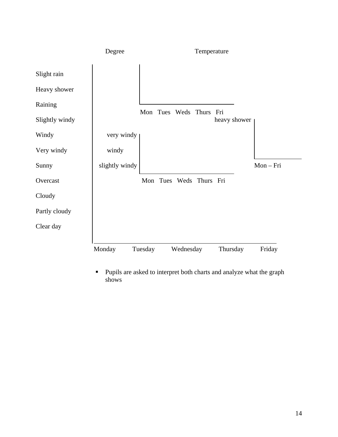

 Pupils are asked to interpret both charts and analyze what the graph shows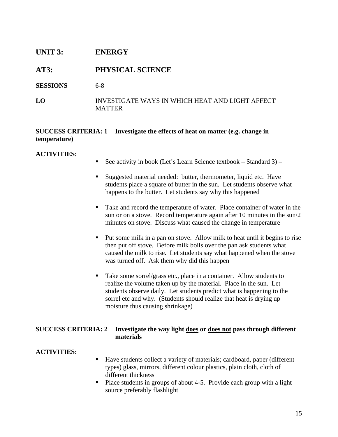## **UNIT 3: ENERGY**

## **AT3: PHYSICAL SCIENCE**

**SESSIONS** 6-8

## **LO** INVESTIGATE WAYS IN WHICH HEAT AND LIGHT AFFECT **MATTER**

## **SUCCESS CRITERIA: 1 Investigate the effects of heat on matter (e.g. change in temperature)**

## **ACTIVITIES:**

- See activity in book (Let's Learn Science textbook Standard 3) –
- Suggested material needed: butter, thermometer, liquid etc. Have students place a square of butter in the sun. Let students observe what happens to the butter. Let students say why this happened
- Take and record the temperature of water. Place container of water in the sun or on a stove. Record temperature again after 10 minutes in the sun/2 minutes on stove. Discuss what caused the change in temperature
- Put some milk in a pan on stove. Allow milk to heat until it begins to rise then put off stove. Before milk boils over the pan ask students what caused the milk to rise. Let students say what happened when the stove was turned off. Ask them why did this happen
- Take some sorrel/grass etc., place in a container. Allow students to realize the volume taken up by the material. Place in the sun. Let students observe daily. Let students predict what is happening to the sorrel etc and why. (Students should realize that heat is drying up moisture thus causing shrinkage)

## **SUCCESS CRITERIA: 2 Investigate the way light does or does not pass through different materials**

- Have students collect a variety of materials; cardboard, paper (different types) glass, mirrors, different colour plastics, plain cloth, cloth of different thickness
- Place students in groups of about 4-5. Provide each group with a light source preferably flashlight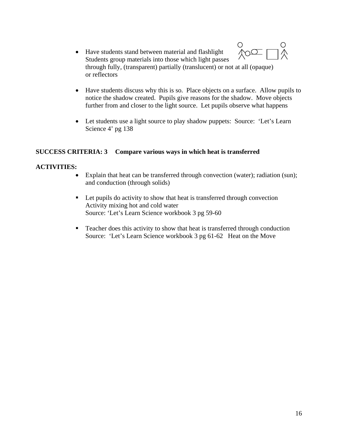- $\frac{1}{2}$ • Have students stand between material and flashlight Students group materials into those which light passes through fully, (transparent) partially (translucent) or not at all (opaque) or reflectors
- Have students discuss why this is so. Place objects on a surface. Allow pupils to notice the shadow created. Pupils give reasons for the shadow. Move objects further from and closer to the light source. Let pupils observe what happens
- Let students use a light source to play shadow puppets: Source: 'Let's Learn Science 4' pg 138

## **SUCCESS CRITERIA: 3 Compare various ways in which heat is transferred**

- Explain that heat can be transferred through convection (water); radiation (sun); and conduction (through solids)
- Let pupils do activity to show that heat is transferred through convection Activity mixing hot and cold water Source: 'Let's Learn Science workbook 3 pg 59-60
- Teacher does this activity to show that heat is transferred through conduction Source: 'Let's Learn Science workbook 3 pg 61-62 Heat on the Move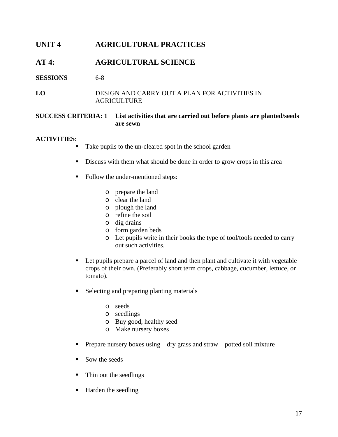## **UNIT 4 AGRICULTURAL PRACTICES**

## **AT 4: AGRICULTURAL SCIENCE**

## **SESSIONS** 6-8

## **LO** DESIGN AND CARRY OUT A PLAN FOR ACTIVITIES IN AGRICULTURE

## **SUCCESS CRITERIA: 1 List activities that are carried out before plants are planted/seeds are sewn**

- Take pupils to the un-cleared spot in the school garden
- Discuss with them what should be done in order to grow crops in this area
- Follow the under-mentioned steps:
	- o prepare the land
	- o clear the land
	- o plough the land
	- o refine the soil
	- o dig drains
	- o form garden beds
	- o Let pupils write in their books the type of tool/tools needed to carry out such activities.
- Let pupils prepare a parcel of land and then plant and cultivate it with vegetable crops of their own. (Preferably short term crops, cabbage, cucumber, lettuce, or tomato).
- **Selecting and preparing planting materials** 
	- o seeds
	- o seedlings
	- o Buy good, healthy seed
	- o Make nursery boxes
- **Prepare nursery boxes using dry grass and straw potted soil mixture**
- Sow the seeds
- Thin out the seedlings
- Harden the seedling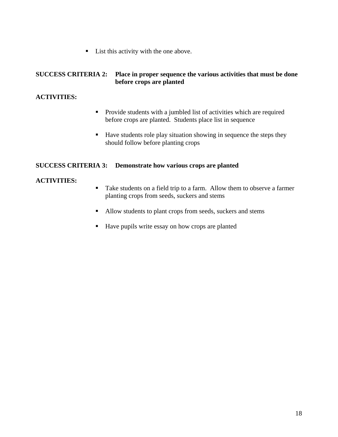■ List this activity with the one above.

## **SUCCESS CRITERIA 2: Place in proper sequence the various activities that must be done before crops are planted**

## **ACTIVITIES:**

- **Provide students with a jumbled list of activities which are required** before crops are planted. Students place list in sequence
- Have students role play situation showing in sequence the steps they should follow before planting crops

## **SUCCESS CRITERIA 3: Demonstrate how various crops are planted**

- Take students on a field trip to a farm. Allow them to observe a farmer planting crops from seeds, suckers and stems
- Allow students to plant crops from seeds, suckers and stems
- Have pupils write essay on how crops are planted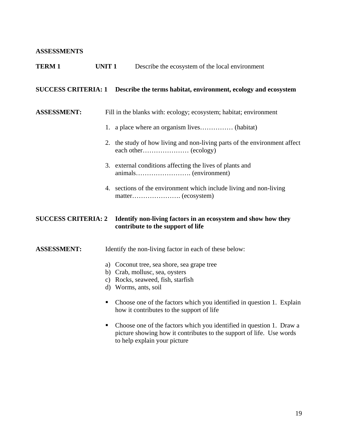## **ASSESSMENTS**

| <b>TERM1</b>               | <b>UNIT1</b> | Describe the ecosystem of the local environment                                                                                              |
|----------------------------|--------------|----------------------------------------------------------------------------------------------------------------------------------------------|
|                            |              | SUCCESS CRITERIA: 1 Describe the terms habitat, environment, ecology and ecosystem                                                           |
| <b>ASSESSMENT:</b>         |              | Fill in the blanks with: ecology; ecosystem; habitat; environment                                                                            |
|                            |              | 1. a place where an organism lives (habitat)                                                                                                 |
|                            |              | 2. the study of how living and non-living parts of the environment affect                                                                    |
|                            |              | 3. external conditions affecting the lives of plants and                                                                                     |
|                            |              | 4. sections of the environment which include living and non-living                                                                           |
| <b>SUCCESS CRITERIA: 2</b> |              | Identify non-living factors in an ecosystem and show how they<br>contribute to the support of life                                           |
| <b>ASSESSMENT:</b>         |              | Identify the non-living factor in each of these below:                                                                                       |
|                            |              | a) Coconut tree, sea shore, sea grape tree<br>b) Crab, mollusc, sea, oysters<br>c) Rocks, seaweed, fish, starfish<br>d) Worms, ants, soil    |
|                            | ٠            | Choose one of the factors which you identified in question 1. Explain<br>how it contributes to the support of life                           |
|                            | ш            | Choose one of the factors which you identified in question 1. Draw a<br>picture showing how it contributes to the support of life. Use words |

to help explain your picture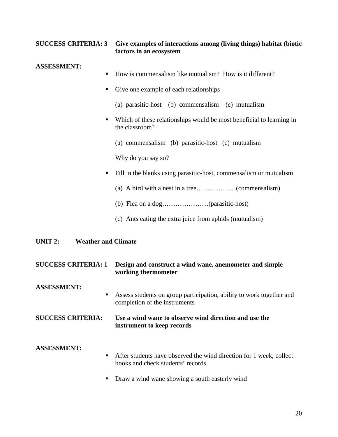## **SUCCESS CRITERIA: 3 Give examples of interactions among (living things) habitat (biotic factors in an ecosystem**

## **ASSESSMENT:**

- How is commensalism like mutualism? How is it different?
- Give one example of each relationships
	- (a) parasitic-host (b) commensalism (c) mutualism
- Which of these relationships would be most beneficial to learning in the classroom?
	- (a) commensalism (b) parasitic-host (c) mutualism

Why do you say so?

- Fill in the blanks using parasitic-host, commensalism or mutualism
	- (a) A bird with a nest in a tree………………(commensalism)
	- (b) Flea on a dog…………………(parasitic-host)
	- (c) Ants eating the extra juice from aphids (mutualism)

## **UNIT 2: Weather and Climate**

| <b>SUCCESS CRITERIA: 1</b> | Design and construct a wind wane, anemometer and simple<br>working thermometer                           |
|----------------------------|----------------------------------------------------------------------------------------------------------|
| <b>ASSESSMENT:</b><br>٠    | Assess students on group participation, ability to work together and<br>completion of the instruments    |
| <b>SUCCESS CRITERIA:</b>   | Use a wind wane to observe wind direction and use the<br>instrument to keep records                      |
| <b>ASSESSMENT:</b><br>٠    | After students have observed the wind direction for 1 week, collect<br>books and check students' records |
| ш                          | Draw a wind wane showing a south easterly wind                                                           |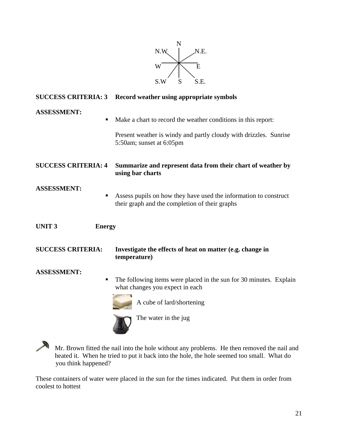

| <b>SUCCESS CRITERIA: 3</b>    | Record weather using appropriate symbols                                                                                                                       |
|-------------------------------|----------------------------------------------------------------------------------------------------------------------------------------------------------------|
| <b>ASSESSMENT:</b><br>п       | Make a chart to record the weather conditions in this report:<br>Present weather is windy and partly cloudy with drizzles. Sunrise<br>5:50am; sunset at 6:05pm |
| <b>SUCCESS CRITERIA: 4</b>    | Summarize and represent data from their chart of weather by<br>using bar charts                                                                                |
| <b>ASSESSMENT:</b><br>٠       | Assess pupils on how they have used the information to construct<br>their graph and the completion of their graphs                                             |
| <b>UNIT3</b><br><b>Energy</b> |                                                                                                                                                                |
| <b>SUCCESS CRITERIA:</b>      | Investigate the effects of heat on matter (e.g. change in<br>temperature)                                                                                      |
| <b>ASSESSMENT:</b><br>п       | The following items were placed in the sun for 30 minutes. Explain<br>what changes you expect in each<br>A cube of lard/shortening<br>The water in the jug     |

Mr. Brown fitted the nail into the hole without any problems. He then removed the nail and heated it. When he tried to put it back into the hole, the hole seemed too small. What do you think happened?

These containers of water were placed in the sun for the times indicated. Put them in order from coolest to hottest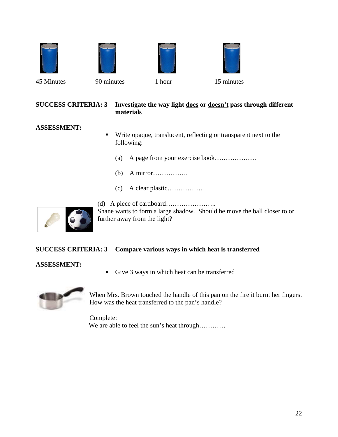







45 Minutes 90 minutes 1 hour 15 minutes

## **SUCCESS CRITERIA: 3 Investigate the way light does or doesn't pass through different materials**

## **ASSESSMENT:**

- Write opaque, translucent, reflecting or transparent next to the following:
	- (a) A page from your exercise book……………….
	- (b) A mirror…………….
	- (c) A clear plastic………………



(d) A piece of cardboard………………….. Shane wants to form a large shadow. Should he move the ball closer to or further away from the light?

## **SUCCESS CRITERIA: 3 Compare various ways in which heat is transferred**

## **ASSESSMENT:**

Give 3 ways in which heat can be transferred



When Mrs. Brown touched the handle of this pan on the fire it burnt her fingers. How was the heat transferred to the pan's handle?

Complete: We are able to feel the sun's heat through…………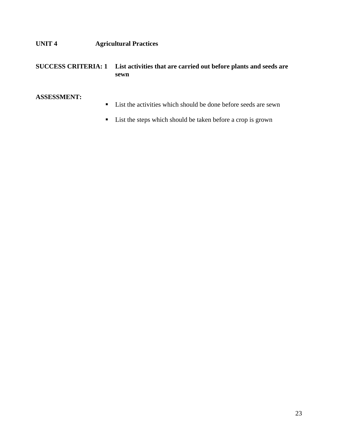**UNIT 4 Agricultural Practices** 

## **SUCCESS CRITERIA: 1 List activities that are carried out before plants and seeds are sewn**

## **ASSESSMENT:**

- List the activities which should be done before seeds are sewn
- List the steps which should be taken before a crop is grown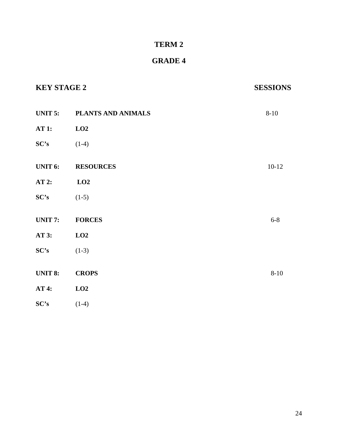## **TERM 2**

## **GRADE 4**

| <b>KEY STAGE 2</b> |                    | <b>SESSIONS</b> |
|--------------------|--------------------|-----------------|
| <b>UNIT 5:</b>     | PLANTS AND ANIMALS | $8 - 10$        |
| <b>AT 1:</b>       | LO2                |                 |
| SC's               | $(1-4)$            |                 |
| <b>UNIT 6:</b>     | <b>RESOURCES</b>   | $10-12$         |
| AT 2:              | LO2                |                 |
| SC's               | $(1-5)$            |                 |
| <b>UNIT 7:</b>     | <b>FORCES</b>      | $6 - 8$         |
| AT 3:              | LO2                |                 |
| SC's               | $(1-3)$            |                 |
| <b>UNIT 8:</b>     | <b>CROPS</b>       | $8 - 10$        |
| AT 4:              | LO2                |                 |
| SC's               | $(1-4)$            |                 |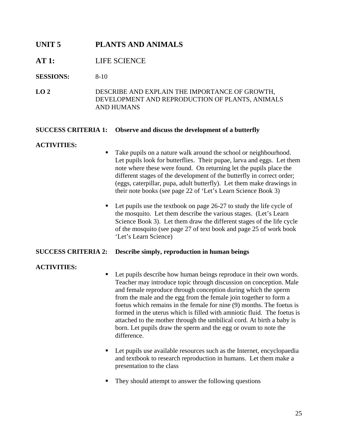## **UNIT 5 PLANTS AND ANIMALS**

## **AT 1:** LIFE SCIENCE

**SESSIONS:** 8-10

**LO 2** DESCRIBE AND EXPLAIN THE IMPORTANCE OF GROWTH, DEVELOPMENT AND REPRODUCTION OF PLANTS, ANIMALS AND HUMANS

#### **SUCCESS CRITERIA 1: Observe and discuss the development of a butterfly**

#### **ACTIVITIES:**

- Take pupils on a nature walk around the school or neighbourhood. Let pupils look for butterflies. Their pupae, larva and eggs. Let them note where these were found. On returning let the pupils place the different stages of the development of the butterfly in correct order; (eggs, caterpillar, pupa, adult butterfly). Let them make drawings in their note books (see page 22 of 'Let's Learn Science Book 3)
- $\blacksquare$  Let pupils use the textbook on page 26-27 to study the life cycle of the mosquito. Let them describe the various stages. (Let's Learn Science Book 3). Let them draw the different stages of the life cycle of the mosquito (see page 27 of text book and page 25 of work book 'Let's Learn Science)

#### **SUCCESS CRITERIA 2: Describe simply, reproduction in human beings**

- Let pupils describe how human beings reproduce in their own words. Teacher may introduce topic through discussion on conception. Male and female reproduce through conception during which the sperm from the male and the egg from the female join together to form a foetus which remains in the female for nine (9) months. The foetus is formed in the uterus which is filled with amniotic fluid. The foetus is attached to the mother through the umbilical cord. At birth a baby is born. Let pupils draw the sperm and the egg or ovum to note the difference.
- Let pupils use available resources such as the Internet, encyclopaedia and textbook to research reproduction in humans. Let them make a presentation to the class
- They should attempt to answer the following questions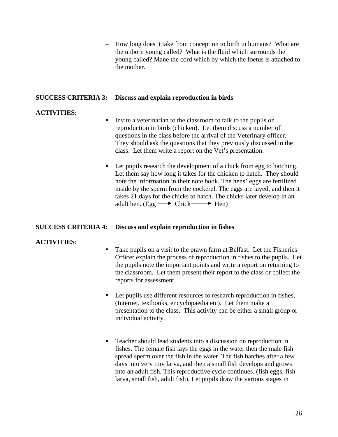− How long does it take from conception to birth in humans? What are the unborn young called? What is the fluid which surrounds the young called? Mane the cord which by which the foetus is attached to the mother.

#### **SUCCESS CRITERIA 3: Discuss and explain reproduction in birds**

## **ACTIVITIES:**

- Invite a veterinarian to the classroom to talk to the pupils on reproduction in birds (chicken). Let them discuss a number of questions in the class before the arrival of the Veterinary officer. They should ask the questions that they previously discussed in the class. Let them write a report on the Vet's presentation.
- Let pupils research the development of a chick from egg to hatching. Let them say how long it takes for the chicken to hatch. They should note the information in their note book. The hens' eggs are fertilized inside by the sperm from the cockerel. The eggs are layed, and then it takes 21 days for the chicks to hatch. The chicks later develop in an adult hen. (Egg  $\longrightarrow$  Chick  $\longrightarrow$  Hen)

#### **SUCCESS CRITERIA 4: Discuss and explain reproduction in fishes**

- Take pupils on a visit to the prawn farm at Belfast. Let the Fisheries Officer explain the process of reproduction in fishes to the pupils. Let the pupils note the important points and write a report on returning to the classroom. Let them present their report to the class or collect the reports for assessment
- Let pupils use different resources to research reproduction in fishes, (Internet, textbooks, encyclopaedia etc). Let them make a presentation to the class. This activity can be either a small group or individual activity.
- Teacher should lead students into a discussion on reproduction in fishes. The female fish lays the eggs in the water then the male fish spread sperm over the fish in the water. The fish hatches after a few days into very tiny larva, and then a small fish develops and grows into an adult fish. This reproductive cycle continues. (fish eggs, fish larva, small fish, adult fish). Let pupils draw the various stages in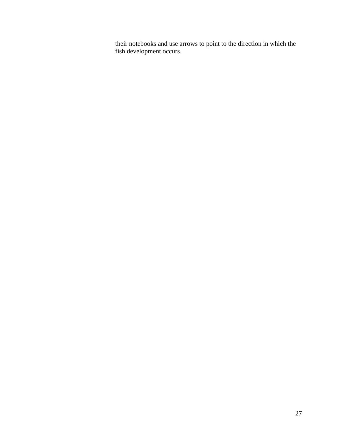their notebooks and use arrows to point to the direction in which the fish development occurs.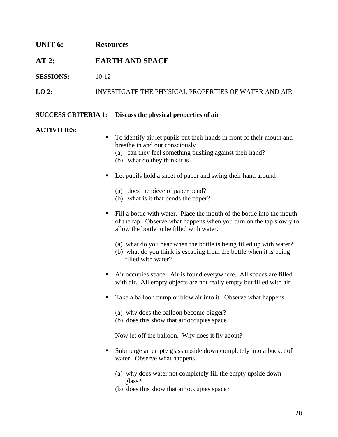# **UNIT 6: Resources AT 2: EARTH AND SPACE SESSIONS:** 10-12 **LO 2:** INVESTIGATE THE PHYSICAL PROPERTIES OF WATER AND AIR

## **SUCCESS CRITERIA 1: Discuss the physical properties of air**

## **ACTIVITIES:**

- To identify air let pupils put their hands in front of their mouth and breathe in and out consciously
	- (a) can they feel something pushing against their hand?
	- (b) what do they think it is?
- Let pupils hold a sheet of paper and swing their hand around
	- (a) does the piece of paper bend?
	- (b) what is it that bends the paper?
- Fill a bottle with water. Place the mouth of the bottle into the mouth of the tap. Observe what happens when you turn on the tap slowly to allow the bottle to be filled with water.
	- (a) what do you hear when the bottle is being filled up with water?
	- (b) what do you think is escaping from the bottle when it is being filled with water?
- Air occupies space. Air is found everywhere. All spaces are filled with air. All empty objects are not really empty but filled with air
- Take a balloon pump or blow air into it. Observe what happens
	- (a) why does the balloon become bigger?
	- (b) does this show that air occupies space?

Now let off the balloon. Why does it fly about?

- Submerge an empty glass upside down completely into a bucket of water. Observe what happens
	- (a) why does water not completely fill the empty upside down glass?
	- (b) does this show that air occupies space?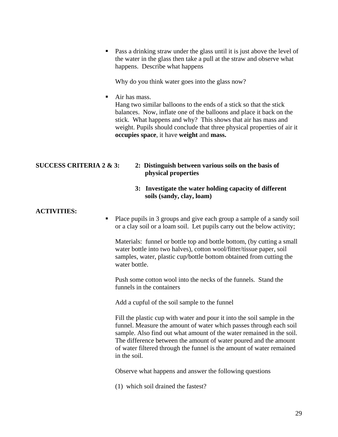**Pass a drinking straw under the glass until it is just above the level of** the water in the glass then take a pull at the straw and observe what happens. Describe what happens

Why do you think water goes into the glass now?

■ Air has mass.

Hang two similar balloons to the ends of a stick so that the stick balances. Now, inflate one of the balloons and place it back on the stick. What happens and why? This shows that air has mass and weight. Pupils should conclude that three physical properties of air it **occupies space**, it have **weight** and **mass.**

- **SUCCESS CRITERIA 2 & 3: 2: Distinguish between various soils on the basis of physical properties** 
	- **3: Investigate the water holding capacity of different soils (sandy, clay, loam)**

## **ACTIVITIES:**

• Place pupils in 3 groups and give each group a sample of a sandy soil or a clay soil or a loam soil. Let pupils carry out the below activity;

Materials: funnel or bottle top and bottle bottom, (by cutting a small water bottle into two halves), cotton wool/fitter/tissue paper, soil samples, water, plastic cup/bottle bottom obtained from cutting the water bottle.

Push some cotton wool into the necks of the funnels. Stand the funnels in the containers

Add a cupful of the soil sample to the funnel

Fill the plastic cup with water and pour it into the soil sample in the funnel. Measure the amount of water which passes through each soil sample. Also find out what amount of the water remained in the soil. The difference between the amount of water poured and the amount of water filtered through the funnel is the amount of water remained in the soil.

Observe what happens and answer the following questions

(1) which soil drained the fastest?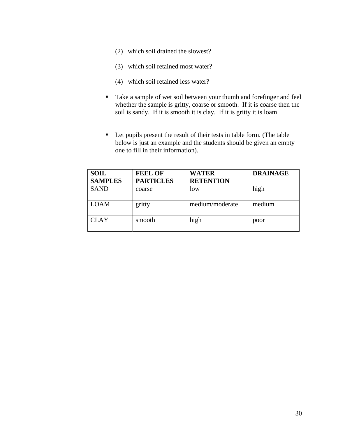- (2) which soil drained the slowest?
- (3) which soil retained most water?
- (4) which soil retained less water?
- Take a sample of wet soil between your thumb and forefinger and feel whether the sample is gritty, coarse or smooth. If it is coarse then the soil is sandy. If it is smooth it is clay. If it is gritty it is loam
- Let pupils present the result of their tests in table form. (The table below is just an example and the students should be given an empty one to fill in their information).

| <b>SOIL</b><br><b>SAMPLES</b> | <b>FEEL OF</b><br><b>PARTICLES</b> | <b>WATER</b><br><b>RETENTION</b> | <b>DRAINAGE</b> |
|-------------------------------|------------------------------------|----------------------------------|-----------------|
| <b>SAND</b>                   | coarse                             | low                              | high            |
| <b>LOAM</b>                   | gritty                             | medium/moderate                  | medium          |
| <b>CLAY</b>                   | smooth                             | high                             | poor            |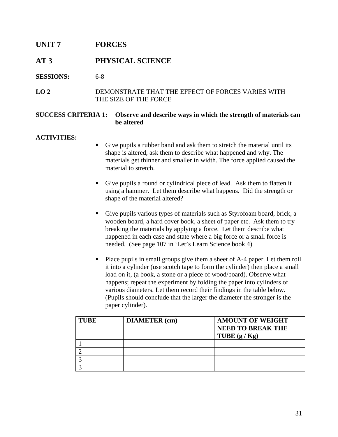## **UNIT 7 FORCES**

## **AT 3 PHYSICAL SCIENCE**

## **SESSIONS:** 6-8

## **LO 2** DEMONSTRATE THAT THE EFFECT OF FORCES VARIES WITH THE SIZE OF THE FORCE

## **SUCCESS CRITERIA 1: Observe and describe ways in which the strength of materials can be altered**

- Give pupils a rubber band and ask them to stretch the material until its shape is altered, ask them to describe what happened and why. The materials get thinner and smaller in width. The force applied caused the material to stretch.
- Give pupils a round or cylindrical piece of lead. Ask them to flatten it using a hammer. Let them describe what happens. Did the strength or shape of the material altered?
- Give pupils various types of materials such as Styrofoam board, brick, a wooden board, a hard cover book, a sheet of paper etc. Ask them to try breaking the materials by applying a force. Let them describe what happened in each case and state where a big force or a small force is needed. (See page 107 in 'Let's Learn Science book 4)
- Place pupils in small groups give them a sheet of A-4 paper. Let them roll it into a cylinder (use scotch tape to form the cylinder) then place a small load on it, (a book, a stone or a piece of wood/board). Observe what happens; repeat the experiment by folding the paper into cylinders of various diameters. Let them record their findings in the table below. (Pupils should conclude that the larger the diameter the stronger is the paper cylinder).

| <b>TUBE</b> | <b>DIAMETER</b> (cm) | <b>AMOUNT OF WEIGHT</b><br><b>NEED TO BREAK THE</b><br>TUBE $(g/Kg)$ |
|-------------|----------------------|----------------------------------------------------------------------|
|             |                      |                                                                      |
|             |                      |                                                                      |
|             |                      |                                                                      |
|             |                      |                                                                      |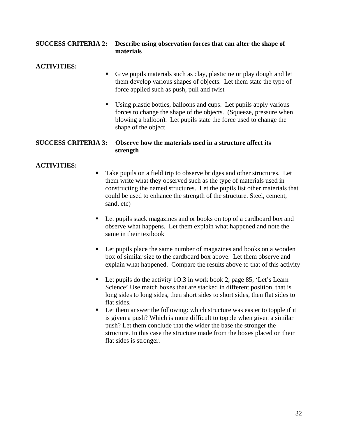## **SUCCESS CRITERIA 2: Describe using observation forces that can alter the shape of materials**

## **ACTIVITIES:**

- Give pupils materials such as clay, plasticine or play dough and let them develop various shapes of objects. Let them state the type of force applied such as push, pull and twist
- Using plastic bottles, balloons and cups. Let pupils apply various forces to change the shape of the objects. (Squeeze, pressure when blowing a balloon). Let pupils state the force used to change the shape of the object

## **SUCCESS CRITERIA 3: Observe how the materials used in a structure affect its strength**

- Take pupils on a field trip to observe bridges and other structures. Let them write what they observed such as the type of materials used in constructing the named structures. Let the pupils list other materials that could be used to enhance the strength of the structure. Steel, cement, sand, etc)
- Let pupils stack magazines and or books on top of a cardboard box and observe what happens. Let them explain what happened and note the same in their textbook
- Let pupils place the same number of magazines and books on a wooden box of similar size to the cardboard box above. Let them observe and explain what happened. Compare the results above to that of this activity
- Let pupils do the activity 10.3 in work book 2, page 85, 'Let's Learn Science' Use match boxes that are stacked in different position, that is long sides to long sides, then short sides to short sides, then flat sides to flat sides.
- Let them answer the following: which structure was easier to topple if it is given a push? Which is more difficult to topple when given a similar push? Let them conclude that the wider the base the stronger the structure. In this case the structure made from the boxes placed on their flat sides is stronger.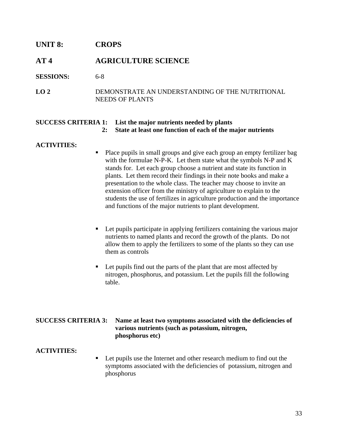## **UNIT 8: CROPS**

## **AT 4 AGRICULTURE SCIENCE**

**SESSIONS:** 6-8

**LO 2** DEMONSTRATE AN UNDERSTANDING OF THE NUTRITIONAL NEEDS OF PLANTS

#### **SUCCESS CRITERIA 1: List the major nutrients needed by plants 2: State at least one function of each of the major nutrients**

#### **ACTIVITIES:**

- Place pupils in small groups and give each group an empty fertilizer bag with the formulae N-P-K. Let them state what the symbols N-P and K stands for. Let each group choose a nutrient and state its function in plants. Let them record their findings in their note books and make a presentation to the whole class. The teacher may choose to invite an extension officer from the ministry of agriculture to explain to the students the use of fertilizes in agriculture production and the importance and functions of the major nutrients to plant development.
- Let pupils participate in applying fertilizers containing the various major nutrients to named plants and record the growth of the plants. Do not allow them to apply the fertilizers to some of the plants so they can use them as controls
- Let pupils find out the parts of the plant that are most affected by nitrogen, phosphorus, and potassium. Let the pupils fill the following table.

## **SUCCESS CRITERIA 3: Name at least two symptoms associated with the deficiencies of various nutrients (such as potassium, nitrogen, phosphorus etc)**

#### **ACTIVITIES:**

■ Let pupils use the Internet and other research medium to find out the symptoms associated with the deficiencies of potassium, nitrogen and phosphorus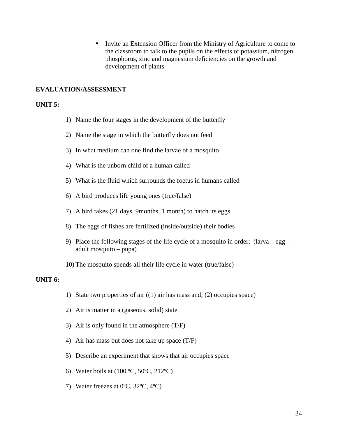Invite an Extension Officer from the Ministry of Agriculture to come to the classroom to talk to the pupils on the effects of potassium, nitrogen, phosphorus, zinc and magnesium deficiencies on the growth and development of plants

## **EVALUATION/ASSESSMENT**

#### **UNIT 5:**

- 1) Name the four stages in the development of the butterfly
- 2) Name the stage in which the butterfly does not feed
- 3) In what medium can one find the larvae of a mosquito
- 4) What is the unborn child of a human called
- 5) What is the fluid which surrounds the foetus in humans called
- 6) A bird produces life young ones (true/false)
- 7) A bird takes (21 days, 9months, 1 month) to hatch its eggs
- 8) The eggs of fishes are fertilized (inside/outside) their bodies
- 9) Place the following stages of the life cycle of a mosquito in order;  $(larva egg$ adult mosquito – pupa)
- 10) The mosquito spends all their life cycle in water (true/false)

#### **UNIT 6:**

- 1) State two properties of air ((1) air has mass and; (2) occupies space)
- 2) Air is matter in a (gaseous, solid) state
- 3) Air is only found in the atmosphere (T/F)
- 4) Air has mass but does not take up space (T/F)
- 5) Describe an experiment that shows that air occupies space
- 6) Water boils at (100 ºC, 50ºC, 212ºC)
- 7) Water freezes at 0ºC, 32ºC, 4ºC)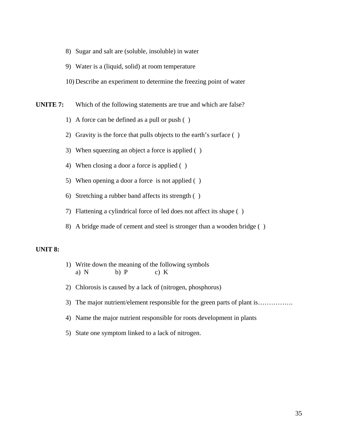- 8) Sugar and salt are (soluble, insoluble) in water
- 9) Water is a (liquid, solid) at room temperature
- 10) Describe an experiment to determine the freezing point of water
- **UNITE 7:** Which of the following statements are true and which are false?
	- 1) A force can be defined as a pull or push ( )
	- 2) Gravity is the force that pulls objects to the earth's surface ( )
	- 3) When squeezing an object a force is applied ( )
	- 4) When closing a door a force is applied ( )
	- 5) When opening a door a force is not applied ( )
	- 6) Stretching a rubber band affects its strength ( )
	- 7) Flattening a cylindrical force of led does not affect its shape ( )
	- 8) A bridge made of cement and steel is stronger than a wooden bridge ( )

#### **UNIT 8:**

- 1) Write down the meaning of the following symbols a) N b) P c) K
- 2) Chlorosis is caused by a lack of (nitrogen, phosphorus)
- 3) The major nutrient/element responsible for the green parts of plant is………………
- 4) Name the major nutrient responsible for roots development in plants
- 5) State one symptom linked to a lack of nitrogen.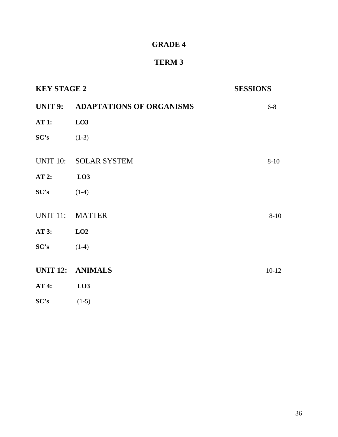## **GRADE 4**

## **TERM 3**

| <b>KEY STAGE 2</b> |                                  | <b>SESSIONS</b> |  |
|--------------------|----------------------------------|-----------------|--|
|                    | UNIT 9: ADAPTATIONS OF ORGANISMS | $6 - 8$         |  |
| <b>AT 1:</b>       | LO3                              |                 |  |
| SC's               | $(1-3)$                          |                 |  |
|                    | UNIT 10: SOLAR SYSTEM            | $8 - 10$        |  |
| $AT2$ :            | LO3                              |                 |  |
| SC's               | $(1-4)$                          |                 |  |
| <b>UNIT 11:</b>    | <b>MATTER</b>                    | $8 - 10$        |  |
| AT 3:              | LO2                              |                 |  |
| SC's               | $(1-4)$                          |                 |  |
|                    | <b>UNIT 12: ANIMALS</b>          | $10-12$         |  |
| <b>AT 4:</b>       | LO <sub>3</sub>                  |                 |  |
| SC's               | $(1-5)$                          |                 |  |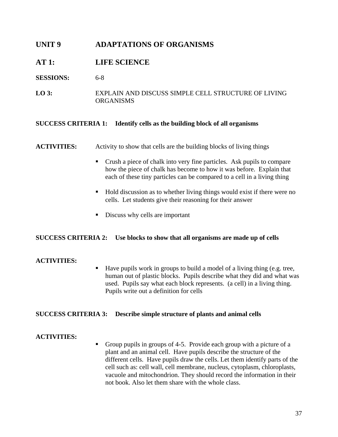## **UNIT 9 ADAPTATIONS OF ORGANISMS**

## **AT 1: LIFE SCIENCE**

#### **SESSIONS:** 6-8

**LO 3:** EXPLAIN AND DISCUSS SIMPLE CELL STRUCTURE OF LIVING ORGANISMS

#### **SUCCESS CRITERIA 1: Identify cells as the building block of all organisms**

## **ACTIVITIES:** Activity to show that cells are the building blocks of living things

- Crush a piece of chalk into very fine particles. Ask pupils to compare how the piece of chalk has become to how it was before. Explain that each of these tiny particles can be compared to a cell in a living thing
- Hold discussion as to whether living things would exist if there were no cells. Let students give their reasoning for their answer
- **Discuss why cells are important**

#### **SUCCESS CRITERIA 2: Use blocks to show that all organisms are made up of cells**

## **ACTIVITIES:**

 Have pupils work in groups to build a model of a living thing (e.g. tree, human out of plastic blocks. Pupils describe what they did and what was used. Pupils say what each block represents. (a cell) in a living thing. Pupils write out a definition for cells

#### **SUCCESS CRITERIA 3: Describe simple structure of plants and animal cells**

## **ACTIVITIES:**

Group pupils in groups of 4-5. Provide each group with a picture of a plant and an animal cell. Have pupils describe the structure of the different cells. Have pupils draw the cells. Let them identify parts of the cell such as: cell wall, cell membrane, nucleus, cytoplasm, chloroplasts, vacuole and mitochondrion. They should record the information in their not book. Also let them share with the whole class.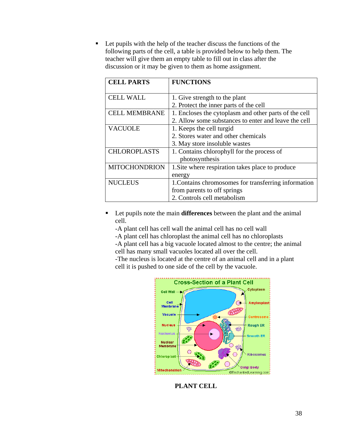■ Let pupils with the help of the teacher discuss the functions of the following parts of the cell, a table is provided below to help them. The teacher will give them an empty table to fill out in class after the discussion or it may be given to them as home assignment.

| <b>CELL PARTS</b>    | <b>FUNCTIONS</b>                                      |
|----------------------|-------------------------------------------------------|
|                      |                                                       |
| <b>CELL WALL</b>     | 1. Give strength to the plant                         |
|                      | 2. Protect the inner parts of the cell                |
| <b>CELL MEMBRANE</b> | 1. Encloses the cytoplasm and other parts of the cell |
|                      | 2. Allow some substances to enter and leave the cell  |
| <b>VACUOLE</b>       | 1. Keeps the cell turgid                              |
|                      | 2. Stores water and other chemicals                   |
|                      | 3. May store insoluble wastes                         |
| <b>CHLOROPLASTS</b>  | 1. Contains chlorophyll for the process of            |
|                      | photosynthesis                                        |
| <b>MITOCHONDRION</b> | 1. Site where respiration takes place to produce      |
|                      | energy                                                |
| <b>NUCLEUS</b>       | 1. Contains chromosomes for transferring information  |
|                      | from parents to off springs                           |
|                      | 2. Controls cell metabolism                           |

 Let pupils note the main **differences** between the plant and the animal cell.

-A plant cell has cell wall the animal cell has no cell wall

-A plant cell has chloroplast the animal cell has no chloroplasts

-A plant cell has a big vacuole located almost to the centre; the animal

cell has many small vacuoles located all over the cell.

-The nucleus is located at the centre of an animal cell and in a plant cell it is pushed to one side of the cell by the vacuole.



**PLANT CELL**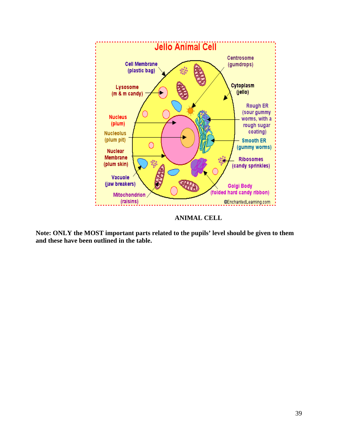

**ANIMAL CELL** 

**Note: ONLY the MOST important parts related to the pupils' level should be given to them and these have been outlined in the table.**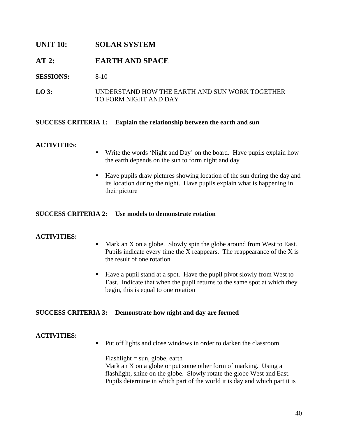## **UNIT 10: SOLAR SYSTEM**

## **AT 2: EARTH AND SPACE**

## **SESSIONS:** 8-10

## **LO 3:** UNDERSTAND HOW THE EARTH AND SUN WORK TOGETHER TO FORM NIGHT AND DAY

## **SUCCESS CRITERIA 1: Explain the relationship between the earth and sun**

## **ACTIVITIES:**

- Write the words 'Night and Day' on the board. Have pupils explain how the earth depends on the sun to form night and day
- Have pupils draw pictures showing location of the sun during the day and its location during the night. Have pupils explain what is happening in their picture

## **SUCCESS CRITERIA 2: Use models to demonstrate rotation**

## **ACTIVITIES:**

- Mark an X on a globe. Slowly spin the globe around from West to East. Pupils indicate every time the X reappears. The reappearance of the X is the result of one rotation
- Have a pupil stand at a spot. Have the pupil pivot slowly from West to East. Indicate that when the pupil returns to the same spot at which they begin, this is equal to one rotation

## **SUCCESS CRITERIA 3: Demonstrate how night and day are formed**

## **ACTIVITIES:**

**Put off lights and close windows in order to darken the classroom** 

 $F$ lashlight = sun, globe, earth Mark an X on a globe or put some other form of marking. Using a flashlight, shine on the globe. Slowly rotate the globe West and East. Pupils determine in which part of the world it is day and which part it is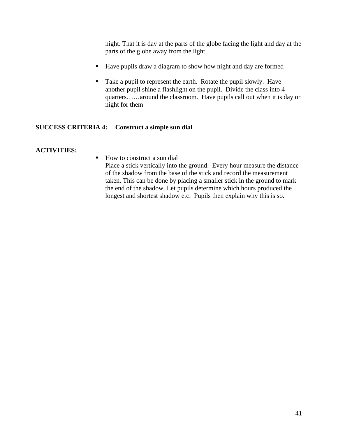night. That it is day at the parts of the globe facing the light and day at the parts of the globe away from the light.

- Have pupils draw a diagram to show how night and day are formed
- Take a pupil to represent the earth. Rotate the pupil slowly. Have another pupil shine a flashlight on the pupil. Divide the class into 4 quarters……around the classroom. Have pupils call out when it is day or night for them

## **SUCCESS CRITERIA 4: Construct a simple sun dial**

#### **ACTIVITIES:**

■ How to construct a sun dial Place a stick vertically into the ground. Every hour measure the distance of the shadow from the base of the stick and record the measurement taken. This can be done by placing a smaller stick in the ground to mark the end of the shadow. Let pupils determine which hours produced the longest and shortest shadow etc. Pupils then explain why this is so.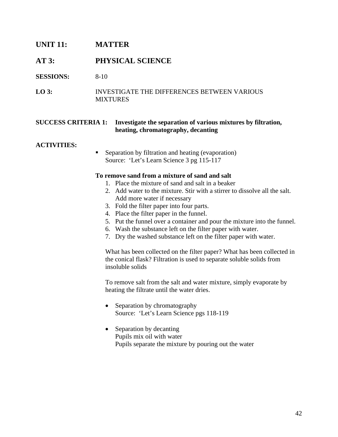## **UNIT 11: MATTER**

## **AT 3: PHYSICAL SCIENCE**

**SESSIONS:** 8-10

**LO 3:** INVESTIGATE THE DIFFERENCES BETWEEN VARIOUS MIXTURES

#### **SUCCESS CRITERIA 1: Investigate the separation of various mixtures by filtration, heating, chromatography, decanting**

#### **ACTIVITIES:**

**Separation by filtration and heating (evaporation)** Source: 'Let's Learn Science 3 pg 115-117

#### **To remove sand from a mixture of sand and salt**

- 1. Place the mixture of sand and salt in a beaker
- 2. Add water to the mixture. Stir with a stirrer to dissolve all the salt. Add more water if necessary
- 3. Fold the filter paper into four parts.
- 4. Place the filter paper in the funnel.
- 5. Put the funnel over a container and pour the mixture into the funnel.
- 6. Wash the substance left on the filter paper with water.
- 7. Dry the washed substance left on the filter paper with water.

What has been collected on the filter paper? What has been collected in the conical flask? Filtration is used to separate soluble solids from insoluble solids

To remove salt from the salt and water mixture, simply evaporate by heating the filtrate until the water dries.

- Separation by chromatography Source: 'Let's Learn Science pgs 118-119
- Separation by decanting Pupils mix oil with water Pupils separate the mixture by pouring out the water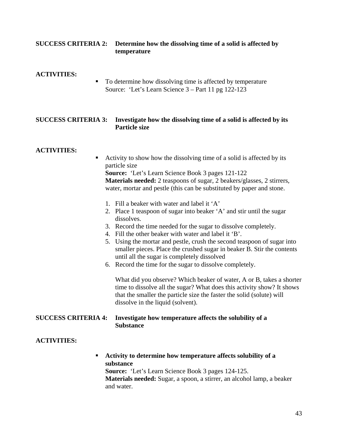## **SUCCESS CRITERIA 2: Determine how the dissolving time of a solid is affected by temperature**

#### **ACTIVITIES:**

■ To determine how dissolving time is affected by temperature Source: 'Let's Learn Science 3 – Part 11 pg 122-123

## **SUCCESS CRITERIA 3: Investigate how the dissolving time of a solid is affected by its Particle size**

## **ACTIVITIES:**

 Activity to show how the dissolving time of a solid is affected by its particle size

**Source:** 'Let's Learn Science Book 3 pages 121-122 **Materials needed:** 2 teaspoons of sugar, 2 beakers/glasses, 2 stirrers, water, mortar and pestle (this can be substituted by paper and stone.

- 1. Fill a beaker with water and label it 'A'
- 2. Place 1 teaspoon of sugar into beaker 'A' and stir until the sugar dissolves.
- 3. Record the time needed for the sugar to dissolve completely.
- 4. Fill the other beaker with water and label it 'B'.
- 5. Using the mortar and pestle, crush the second teaspoon of sugar into smaller pieces. Place the crushed sugar in beaker B. Stir the contents until all the sugar is completely dissolved
- 6. Record the time for the sugar to dissolve completely.

What did you observe? Which beaker of water, A or B, takes a shorter time to dissolve all the sugar? What does this activity show? It shows that the smaller the particle size the faster the solid (solute) will dissolve in the liquid (solvent).

## **SUCCESS CRITERIA 4: Investigate how temperature affects the solubility of a Substance**

## **ACTIVITIES:**

 **Activity to determine how temperature affects solubility of a substance Source:** 'Let's Learn Science Book 3 pages 124-125. **Materials needed:** Sugar, a spoon, a stirrer, an alcohol lamp, a beaker and water.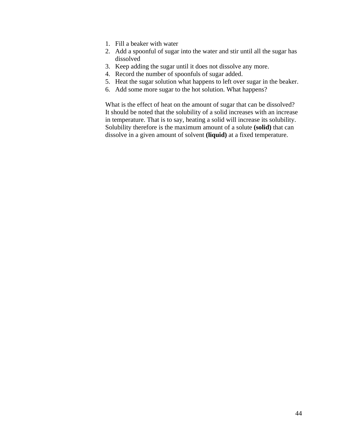- 1. Fill a beaker with water
- 2. Add a spoonful of sugar into the water and stir until all the sugar has dissolved
- 3. Keep adding the sugar until it does not dissolve any more.
- 4. Record the number of spoonfuls of sugar added.
- 5. Heat the sugar solution what happens to left over sugar in the beaker.
- 6. Add some more sugar to the hot solution. What happens?

What is the effect of heat on the amount of sugar that can be dissolved? It should be noted that the solubility of a solid increases with an increase in temperature. That is to say, heating a solid will increase its solubility. Solubility therefore is the maximum amount of a solute **(solid)** that can dissolve in a given amount of solvent **(liquid)** at a fixed temperature.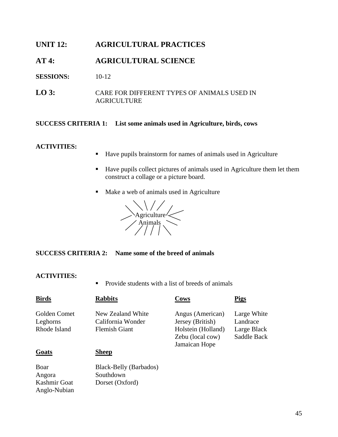## **UNIT 12: AGRICULTURAL PRACTICES**

## **AT 4: AGRICULTURAL SCIENCE**

**SESSIONS:** 10-12

**LO 3:** CARE FOR DIFFERENT TYPES OF ANIMALS USED IN AGRICULTURE

#### **SUCCESS CRITERIA 1: List some animals used in Agriculture, birds, cows**

#### **ACTIVITIES:**

- Have pupils brainstorm for names of animals used in Agriculture
- Have pupils collect pictures of animals used in Agriculture them let them construct a collage or a picture board.
- Make a web of animals used in Agriculture



**SUCCESS CRITERIA 2: Name some of the breed of animals** 

#### **ACTIVITIES:**

Anglo-Nubian

• Provide students with a list of breeds of animals

| <b>Birds</b> | <b>Rabbits</b>         | Cows               | <b>Pigs</b> |
|--------------|------------------------|--------------------|-------------|
| Golden Comet | New Zealand White      | Angus (American)   | Large White |
| Leghorns     | California Wonder      | Jersey (British)   | Landrace    |
| Rhode Island | <b>Flemish Giant</b>   | Holstein (Holland) | Large Black |
|              |                        | Zebu (local cow)   | Saddle Back |
|              |                        | Jamaican Hope      |             |
| Goats        | Sheep                  |                    |             |
| Boar         | Black-Belly (Barbados) |                    |             |
| Angora       | Southdown              |                    |             |
| Kashmir Goat | Dorset (Oxford)        |                    |             |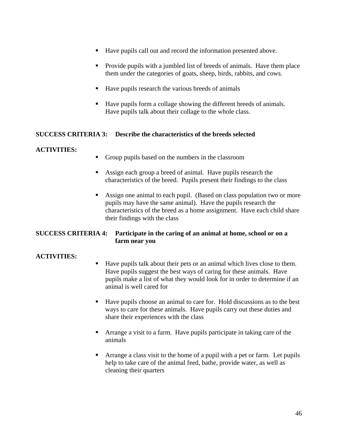- Have pupils call out and record the information presented above.
- Provide pupils with a jumbled list of breeds of animals. Have them place them under the categories of goats, sheep, birds, rabbits, and cows.
- Have pupils research the various breeds of animals
- Have pupils form a collage showing the different breeds of animals. Have pupils talk about their collage to the whole class.

## **SUCCESS CRITERIA 3: Describe the characteristics of the breeds selected**

## **ACTIVITIES:**

- Group pupils based on the numbers in the classroom
- Assign each group a breed of animal. Have pupils research the characteristics of the breed. Pupils present their findings to the class
- Assign one animal to each pupil. (Based on class population two or more pupils may have the same animal). Have the pupils research the characteristics of the breed as a home assignment. Have each child share their findings with the class

## **SUCCESS CRITERIA 4: Participate in the caring of an animal at home, school or on a farm near you**

- Have pupils talk about their pets or an animal which lives close to them. Have pupils suggest the best ways of caring for these animals. Have pupils make a list of what they would look for in order to determine if an animal is well cared for
- Have pupils choose an animal to care for. Hold discussions as to the best ways to care for these animals. Have pupils carry out these duties and share their experiences with the class
- Arrange a visit to a farm. Have pupils participate in taking care of the animals
- Arrange a class visit to the home of a pupil with a pet or farm. Let pupils help to take care of the animal feed, bathe, provide water, as well as cleaning their quarters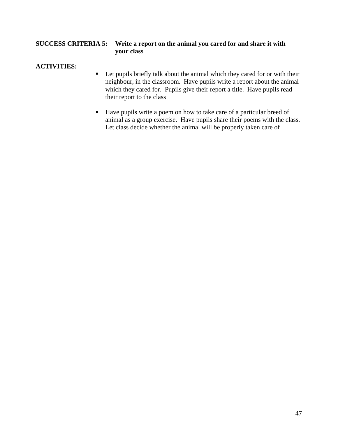## **SUCCESS CRITERIA 5: Write a report on the animal you cared for and share it with your class**

- Let pupils briefly talk about the animal which they cared for or with their neighbour, in the classroom. Have pupils write a report about the animal which they cared for. Pupils give their report a title. Have pupils read their report to the class
- Have pupils write a poem on how to take care of a particular breed of animal as a group exercise. Have pupils share their poems with the class. Let class decide whether the animal will be properly taken care of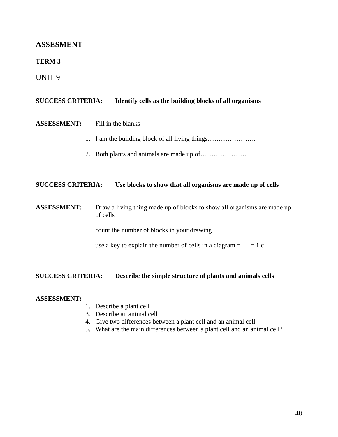## **ASSESMENT**

## **TERM 3**

UNIT 9

| <b>SUCCESS CRITERIA:</b> | Identify cells as the building blocks of all organisms                                                                                   |  |  |
|--------------------------|------------------------------------------------------------------------------------------------------------------------------------------|--|--|
| <b>ASSESSMENT:</b>       | Fill in the blanks                                                                                                                       |  |  |
|                          | 1. I am the building block of all living things                                                                                          |  |  |
|                          |                                                                                                                                          |  |  |
| <b>SUCCESS CRITERIA:</b> | Use blocks to show that all organisms are made up of cells                                                                               |  |  |
| <b>ASSESSMENT:</b>       | Draw a living thing made up of blocks to show all organisms are made up<br>of cells<br>count the number of blocks in your drawing        |  |  |
| <b>SUCCESS CRITERIA:</b> | use a key to explain the number of cells in a diagram $=$<br>$= 1$ c $\Box$<br>Describe the simple structure of plants and animals cells |  |  |

## **ASSESSMENT:**

- 1. Describe a plant cell
- 3. Describe an animal cell
- 4. Give two differences between a plant cell and an animal cell
- 5. What are the main differences between a plant cell and an animal cell?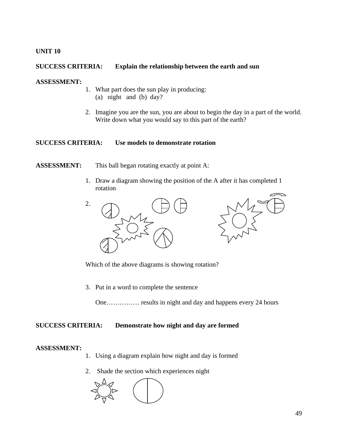## **UNIT 10**

## **SUCCESS CRITERIA: Explain the relationship between the earth and sun**

## **ASSESSMENT:**

- 1. What part does the sun play in producing: (a) night and (b) day?
- 2. Imagine you are the sun, you are about to begin the day in a part of the world. Write down what you would say to this part of the earth?

## **SUCCESS CRITERIA: Use models to demonstrate rotation**

## **ASSESSMENT:** This ball began rotating exactly at point A:

1. Draw a diagram showing the position of the A after it has completed 1 rotation



Which of the above diagrams is showing rotation?

3. Put in a word to complete the sentence

One…………… results in night and day and happens every 24 hours

## **SUCCESS CRITERIA: Demonstrate how night and day are formed**

#### **ASSESSMENT:**

- 1. Using a diagram explain how night and day is formed
- 2. Shade the section which experiences night

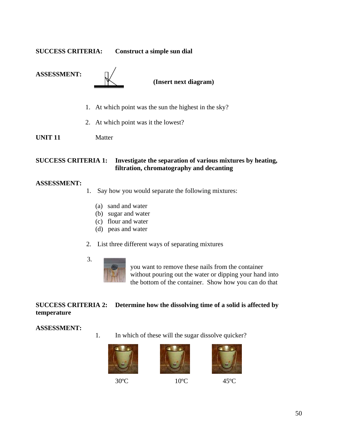**SUCCESS CRITERIA: Construct a simple sun dial** 





 **(Insert next diagram)** 

- 1. At which point was the sun the highest in the sky?
- 2. At which point was it the lowest?

**UNIT 11** Matter

## **SUCCESS CRITERIA 1: Investigate the separation of various mixtures by heating, filtration, chromatography and decanting**

#### **ASSESSMENT:**

- 1. Say how you would separate the following mixtures:
	- (a) sand and water
	- (b) sugar and water
	- (c) flour and water
	- (d) peas and water
- 2. List three different ways of separating mixtures
	-

3.

 you want to remove these nails from the container without pouring out the water or dipping your hand into the bottom of the container. Show how you can do that

## **SUCCESS CRITERIA 2: Determine how the dissolving time of a solid is affected by temperature**

## **ASSESSMENT:**

1. In which of these will the sugar dissolve quicker?







30°C 10°C 45°C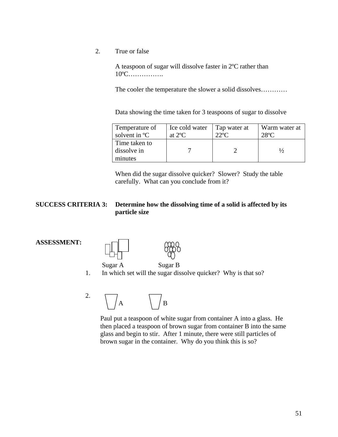2. True or false

A teaspoon of sugar will dissolve faster in 2ºC rather than 10ºC…………….

The cooler the temperature the slower a solid dissolves…………

Data showing the time taken for 3 teaspoons of sugar to dissolve

| Temperature of<br>solvent in <sup>o</sup> C | Ice cold water<br>at $2^{\circ}C$ | Tap water at<br>$22^{\circ}C$ | Warm water at<br>$28^{\circ}$ C |
|---------------------------------------------|-----------------------------------|-------------------------------|---------------------------------|
| Time taken to<br>dissolve in                |                                   |                               |                                 |
| minutes                                     |                                   |                               |                                 |

When did the sugar dissolve quicker? Slower? Study the table carefully. What can you conclude from it?

## **SUCCESS CRITERIA 3: Determine how the dissolving time of a solid is affected by its particle size**

#### **ASSESSMENT:**



Sugar A Sugar B

1. In which set will the sugar dissolve quicker? Why is that so?

2.  $\bigwedge /A$   $\bigwedge /B$ 

 Paul put a teaspoon of white sugar from container A into a glass. He then placed a teaspoon of brown sugar from container B into the same glass and begin to stir. After 1 minute, there were still particles of brown sugar in the container. Why do you think this is so?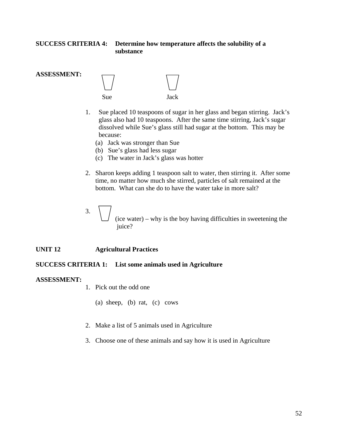## **SUCCESS CRITERIA 4: Determine how temperature affects the solubility of a substance**



- 1. Sue placed 10 teaspoons of sugar in her glass and began stirring. Jack's glass also had 10 teaspoons. After the same time stirring, Jack's sugar dissolved while Sue's glass still had sugar at the bottom. This may be because:
	- (a) Jack was stronger than Sue
	- (b) Sue's glass had less sugar
	- (c) The water in Jack's glass was hotter
- 2. Sharon keeps adding 1 teaspoon salt to water, then stirring it. After some time, no matter how much she stirred, particles of salt remained at the bottom. What can she do to have the water take in more salt?
- 3. (ice water) – why is the boy having difficulties in sweetening the juice?

#### **UNIT 12 Agricultural Practices**

#### **SUCCESS CRITERIA 1: List some animals used in Agriculture**

#### **ASSESSMENT:**

**ASSESSMENT:** 

- 1. Pick out the odd one
	- (a) sheep, (b) rat, (c) cows
- 2. Make a list of 5 animals used in Agriculture
- 3. Choose one of these animals and say how it is used in Agriculture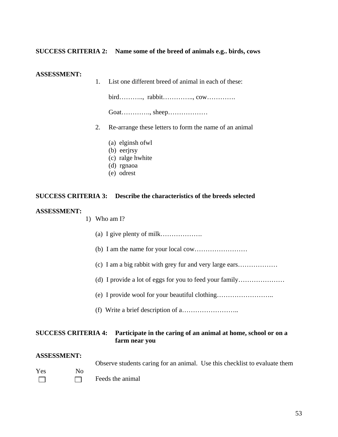## **SUCCESS CRITERIA 2: Name some of the breed of animals e.g.. birds, cows**

#### **ASSESSMENT:**

1. List one different breed of animal in each of these:

bird……….., rabbit………….., cow………….

Goat…………., sheep………………

- 2. Re-arrange these letters to form the name of an animal
	- (a) elginsh ofwl
	- (b) eerjrsy
	- (c) ralge hwhite
	- (d) rgnaoa
	- (e) odrest

#### **SUCCESS CRITERIA 3: Describe the characteristics of the breeds selected**

#### **ASSESSMENT:**

#### 1) Who am I?

- (a) I give plenty of milk……………….
- (b) I am the name for your local cow……………………
- (c) I am a big rabbit with grey fur and very large ears………………
- (d) I provide a lot of eggs for you to feed your family…………………
- (e) I provide wool for your beautiful clothing……………………..
- (f) Write a brief description of a……………………..

#### **SUCCESS CRITERIA 4: Participate in the caring of an animal at home, school or on a farm near you**

#### **ASSESSMENT:**

Observe students caring for an animal. Use this checklist to evaluate them

Yes No  $\Box$  Feeds the animal